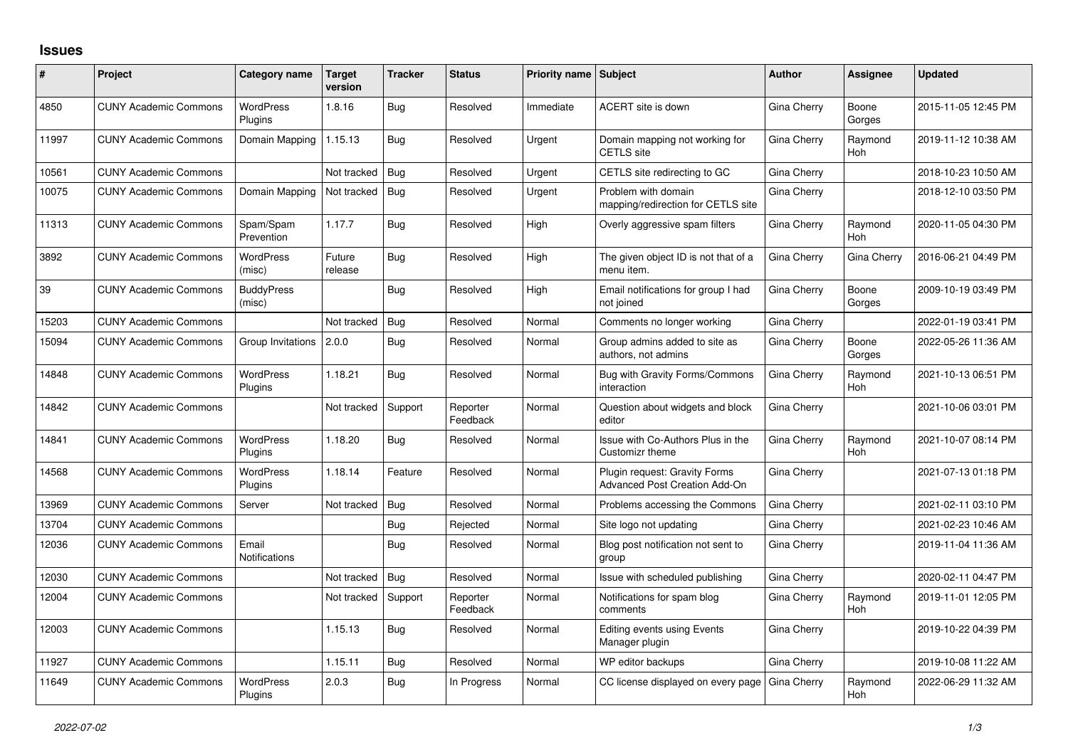## **Issues**

| #     | Project                      | Category name                 | <b>Target</b><br>version | <b>Tracker</b> | <b>Status</b>        | <b>Priority name Subject</b> |                                                                       | <b>Author</b> | Assignee              | <b>Updated</b>      |
|-------|------------------------------|-------------------------------|--------------------------|----------------|----------------------|------------------------------|-----------------------------------------------------------------------|---------------|-----------------------|---------------------|
| 4850  | <b>CUNY Academic Commons</b> | <b>WordPress</b><br>Plugins   | 1.8.16                   | Bug            | Resolved             | Immediate                    | ACERT site is down                                                    | Gina Cherry   | Boone<br>Gorges       | 2015-11-05 12:45 PM |
| 11997 | <b>CUNY Academic Commons</b> | Domain Mapping                | 1.15.13                  | Bug            | Resolved             | Urgent                       | Domain mapping not working for<br><b>CETLS</b> site                   | Gina Cherry   | Raymond<br><b>Hoh</b> | 2019-11-12 10:38 AM |
| 10561 | <b>CUNY Academic Commons</b> |                               | Not tracked              | Bug            | Resolved             | Urgent                       | CETLS site redirecting to GC                                          | Gina Cherry   |                       | 2018-10-23 10:50 AM |
| 10075 | <b>CUNY Academic Commons</b> | Domain Mapping                | Not tracked              | Bug            | Resolved             | Urgent                       | Problem with domain<br>mapping/redirection for CETLS site             | Gina Cherry   |                       | 2018-12-10 03:50 PM |
| 11313 | <b>CUNY Academic Commons</b> | Spam/Spam<br>Prevention       | 1.17.7                   | Bug            | Resolved             | High                         | Overly aggressive spam filters                                        | Gina Cherry   | Raymond<br>Hoh        | 2020-11-05 04:30 PM |
| 3892  | <b>CUNY Academic Commons</b> | <b>WordPress</b><br>(misc)    | Future<br>release        | Bug            | Resolved             | High                         | The given object ID is not that of a<br>menu item.                    | Gina Cherry   | Gina Cherry           | 2016-06-21 04:49 PM |
| 39    | <b>CUNY Academic Commons</b> | <b>BuddyPress</b><br>(misc)   |                          | Bug            | Resolved             | High                         | Email notifications for group I had<br>not joined                     | Gina Cherry   | Boone<br>Gorges       | 2009-10-19 03:49 PM |
| 15203 | <b>CUNY Academic Commons</b> |                               | Not tracked              | Bug            | Resolved             | Normal                       | Comments no longer working                                            | Gina Cherry   |                       | 2022-01-19 03:41 PM |
| 15094 | <b>CUNY Academic Commons</b> | Group Invitations             | 2.0.0                    | Bug            | Resolved             | Normal                       | Group admins added to site as<br>authors, not admins                  | Gina Cherry   | Boone<br>Gorges       | 2022-05-26 11:36 AM |
| 14848 | <b>CUNY Academic Commons</b> | <b>WordPress</b><br>Plugins   | 1.18.21                  | Bug            | Resolved             | Normal                       | Bug with Gravity Forms/Commons<br>interaction                         | Gina Cherry   | Raymond<br>Hoh        | 2021-10-13 06:51 PM |
| 14842 | <b>CUNY Academic Commons</b> |                               | Not tracked              | Support        | Reporter<br>Feedback | Normal                       | Question about widgets and block<br>editor                            | Gina Cherry   |                       | 2021-10-06 03:01 PM |
| 14841 | <b>CUNY Academic Commons</b> | <b>WordPress</b><br>Plugins   | 1.18.20                  | Bug            | Resolved             | Normal                       | Issue with Co-Authors Plus in the<br>Customizr theme                  | Gina Cherry   | Raymond<br><b>Hoh</b> | 2021-10-07 08:14 PM |
| 14568 | <b>CUNY Academic Commons</b> | <b>WordPress</b><br>Plugins   | 1.18.14                  | Feature        | Resolved             | Normal                       | Plugin request: Gravity Forms<br><b>Advanced Post Creation Add-On</b> | Gina Cherry   |                       | 2021-07-13 01:18 PM |
| 13969 | <b>CUNY Academic Commons</b> | Server                        | Not tracked              | Bug            | Resolved             | Normal                       | Problems accessing the Commons                                        | Gina Cherry   |                       | 2021-02-11 03:10 PM |
| 13704 | <b>CUNY Academic Commons</b> |                               |                          | Bug            | Rejected             | Normal                       | Site logo not updating                                                | Gina Cherry   |                       | 2021-02-23 10:46 AM |
| 12036 | <b>CUNY Academic Commons</b> | Email<br><b>Notifications</b> |                          | Bug            | Resolved             | Normal                       | Blog post notification not sent to<br>group                           | Gina Cherry   |                       | 2019-11-04 11:36 AM |
| 12030 | <b>CUNY Academic Commons</b> |                               | Not tracked              | Bug            | Resolved             | Normal                       | Issue with scheduled publishing                                       | Gina Cherry   |                       | 2020-02-11 04:47 PM |
| 12004 | <b>CUNY Academic Commons</b> |                               | Not tracked              | Support        | Reporter<br>Feedback | Normal                       | Notifications for spam blog<br>comments                               | Gina Cherry   | Raymond<br>Hoh        | 2019-11-01 12:05 PM |
| 12003 | <b>CUNY Academic Commons</b> |                               | 1.15.13                  | Bug            | Resolved             | Normal                       | <b>Editing events using Events</b><br>Manager plugin                  | Gina Cherry   |                       | 2019-10-22 04:39 PM |
| 11927 | <b>CUNY Academic Commons</b> |                               | 1.15.11                  | Bug            | Resolved             | Normal                       | WP editor backups                                                     | Gina Cherry   |                       | 2019-10-08 11:22 AM |
| 11649 | <b>CUNY Academic Commons</b> | <b>WordPress</b><br>Plugins   | 2.0.3                    | Bug            | In Progress          | Normal                       | CC license displayed on every page                                    | Gina Cherry   | Raymond<br>Hoh        | 2022-06-29 11:32 AM |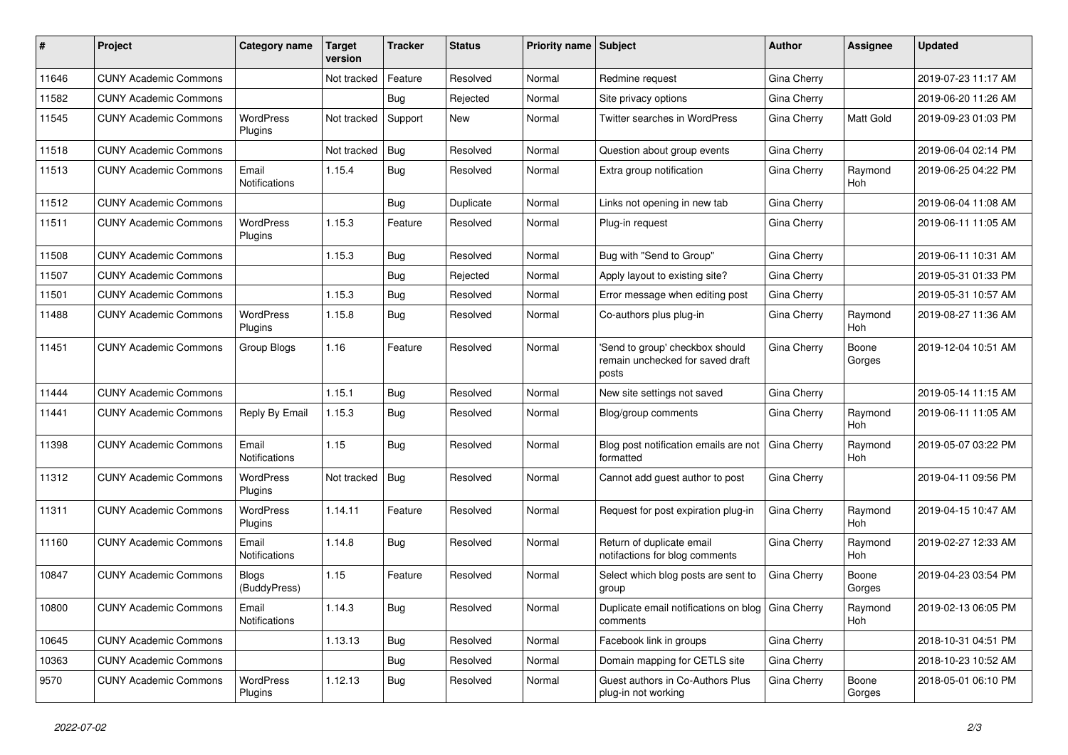| #     | Project                      | Category name                 | Target<br>version | <b>Tracker</b> | <b>Status</b> | Priority name Subject |                                                                              | Author             | Assignee              | Updated             |
|-------|------------------------------|-------------------------------|-------------------|----------------|---------------|-----------------------|------------------------------------------------------------------------------|--------------------|-----------------------|---------------------|
| 11646 | <b>CUNY Academic Commons</b> |                               | Not tracked       | Feature        | Resolved      | Normal                | Redmine request                                                              | Gina Cherry        |                       | 2019-07-23 11:17 AM |
| 11582 | <b>CUNY Academic Commons</b> |                               |                   | Bug            | Rejected      | Normal                | Site privacy options                                                         | Gina Cherry        |                       | 2019-06-20 11:26 AM |
| 11545 | <b>CUNY Academic Commons</b> | WordPress<br>Plugins          | Not tracked       | Support        | New           | Normal                | Twitter searches in WordPress                                                | Gina Cherry        | Matt Gold             | 2019-09-23 01:03 PM |
| 11518 | <b>CUNY Academic Commons</b> |                               | Not tracked       | Bug            | Resolved      | Normal                | Question about group events                                                  | <b>Gina Cherry</b> |                       | 2019-06-04 02:14 PM |
| 11513 | <b>CUNY Academic Commons</b> | Email<br>Notifications        | 1.15.4            | Bug            | Resolved      | Normal                | Extra group notification                                                     | Gina Cherry        | Raymond<br><b>Hoh</b> | 2019-06-25 04:22 PM |
| 11512 | <b>CUNY Academic Commons</b> |                               |                   | Bug            | Duplicate     | Normal                | Links not opening in new tab                                                 | Gina Cherry        |                       | 2019-06-04 11:08 AM |
| 11511 | <b>CUNY Academic Commons</b> | <b>WordPress</b><br>Plugins   | 1.15.3            | Feature        | Resolved      | Normal                | Plug-in request                                                              | Gina Cherry        |                       | 2019-06-11 11:05 AM |
| 11508 | <b>CUNY Academic Commons</b> |                               | 1.15.3            | <b>Bug</b>     | Resolved      | Normal                | Bug with "Send to Group"                                                     | Gina Cherry        |                       | 2019-06-11 10:31 AM |
| 11507 | <b>CUNY Academic Commons</b> |                               |                   | Bug            | Rejected      | Normal                | Apply layout to existing site?                                               | Gina Cherry        |                       | 2019-05-31 01:33 PM |
| 11501 | <b>CUNY Academic Commons</b> |                               | 1.15.3            | <b>Bug</b>     | Resolved      | Normal                | Error message when editing post                                              | Gina Cherry        |                       | 2019-05-31 10:57 AM |
| 11488 | <b>CUNY Academic Commons</b> | WordPress<br>Plugins          | 1.15.8            | Bug            | Resolved      | Normal                | Co-authors plus plug-in                                                      | Gina Cherry        | Raymond<br>Hoh        | 2019-08-27 11:36 AM |
| 11451 | <b>CUNY Academic Commons</b> | Group Blogs                   | 1.16              | Feature        | Resolved      | Normal                | 'Send to group' checkbox should<br>remain unchecked for saved draft<br>posts | Gina Cherry        | Boone<br>Gorges       | 2019-12-04 10:51 AM |
| 11444 | <b>CUNY Academic Commons</b> |                               | 1.15.1            | Bug            | Resolved      | Normal                | New site settings not saved                                                  | Gina Cherry        |                       | 2019-05-14 11:15 AM |
| 11441 | <b>CUNY Academic Commons</b> | Reply By Email                | 1.15.3            | Bug            | Resolved      | Normal                | Blog/group comments                                                          | Gina Cherry        | Raymond<br><b>Hoh</b> | 2019-06-11 11:05 AM |
| 11398 | <b>CUNY Academic Commons</b> | Email<br><b>Notifications</b> | 1.15              | Bug            | Resolved      | Normal                | Blog post notification emails are not<br>formatted                           | Gina Cherry        | Raymond<br>Hoh        | 2019-05-07 03:22 PM |
| 11312 | <b>CUNY Academic Commons</b> | <b>WordPress</b><br>Plugins   | Not tracked       | Bug            | Resolved      | Normal                | Cannot add guest author to post                                              | Gina Cherry        |                       | 2019-04-11 09:56 PM |
| 11311 | <b>CUNY Academic Commons</b> | WordPress<br>Plugins          | 1.14.11           | Feature        | Resolved      | Normal                | Request for post expiration plug-in                                          | Gina Cherry        | Raymond<br>Hoh        | 2019-04-15 10:47 AM |
| 11160 | <b>CUNY Academic Commons</b> | Email<br><b>Notifications</b> | 1.14.8            | Bug            | Resolved      | Normal                | Return of duplicate email<br>notifactions for blog comments                  | Gina Cherry        | Raymond<br>Hoh        | 2019-02-27 12:33 AM |
| 10847 | <b>CUNY Academic Commons</b> | <b>Blogs</b><br>(BuddyPress)  | 1.15              | Feature        | Resolved      | Normal                | Select which blog posts are sent to<br>group                                 | Gina Cherry        | Boone<br>Gorges       | 2019-04-23 03:54 PM |
| 10800 | <b>CUNY Academic Commons</b> | Email<br>Notifications        | 1.14.3            | Bug            | Resolved      | Normal                | Duplicate email notifications on blog   Gina Cherry<br>comments              |                    | Raymond<br>Hoh        | 2019-02-13 06:05 PM |
| 10645 | <b>CUNY Academic Commons</b> |                               | 1.13.13           | <b>Bug</b>     | Resolved      | Normal                | Facebook link in groups                                                      | Gina Cherry        |                       | 2018-10-31 04:51 PM |
| 10363 | <b>CUNY Academic Commons</b> |                               |                   | Bug            | Resolved      | Normal                | Domain mapping for CETLS site                                                | Gina Cherry        |                       | 2018-10-23 10:52 AM |
| 9570  | <b>CUNY Academic Commons</b> | WordPress<br>Plugins          | 1.12.13           | Bug            | Resolved      | Normal                | Guest authors in Co-Authors Plus<br>plug-in not working                      | Gina Cherry        | Boone<br>Gorges       | 2018-05-01 06:10 PM |